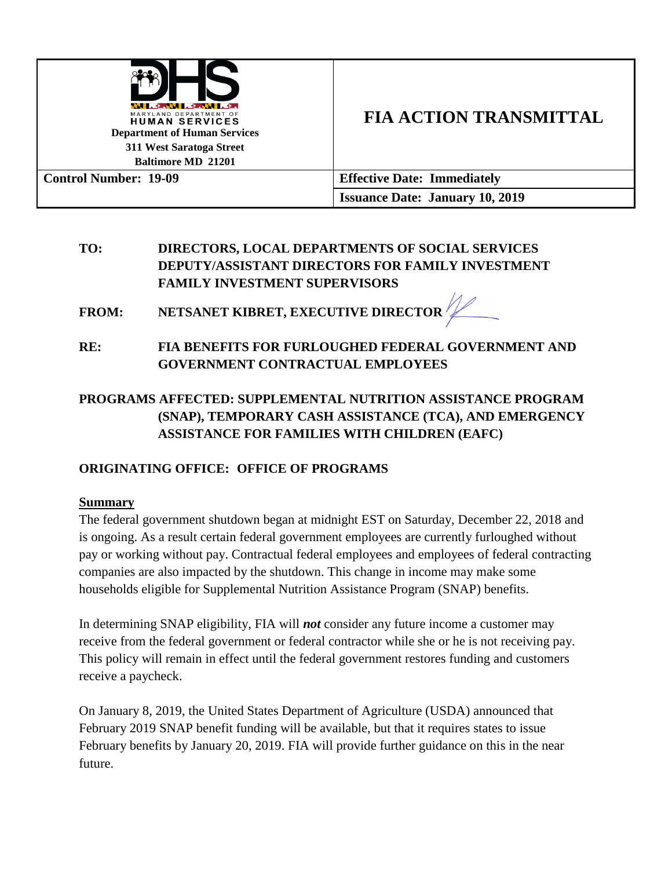

# **TO: DIRECTORS, LOCAL DEPARTMENTS OF SOCIAL SERVICES DEPUTY/ASSISTANT DIRECTORS FOR FAMILY INVESTMENT FAMILY INVESTMENT SUPERVISORS**

**FROM: NETSANET KIBRET, EXECUTIVE DIRECTOR**

**RE: FIA BENEFITS FOR FURLOUGHED FEDERAL GOVERNMENT AND GOVERNMENT CONTRACTUAL EMPLOYEES**

# **PROGRAMS AFFECTED: SUPPLEMENTAL NUTRITION ASSISTANCE PROGRAM (SNAP), TEMPORARY CASH ASSISTANCE (TCA), AND EMERGENCY ASSISTANCE FOR FAMILIES WITH CHILDREN (EAFC)**

# **ORIGINATING OFFICE: OFFICE OF PROGRAMS**

## **Summary**

The federal government shutdown began at midnight EST on Saturday, December 22, 2018 and is ongoing. As a result certain federal government employees are currently furloughed without pay or working without pay. Contractual federal employees and employees of federal contracting companies are also impacted by the shutdown. This change in income may make some households eligible for Supplemental Nutrition Assistance Program (SNAP) benefits.

In determining SNAP eligibility, FIA will *not* consider any future income a customer may receive from the federal government or federal contractor while she or he is not receiving pay. This policy will remain in effect until the federal government restores funding and customers receive a paycheck.

On January 8, 2019, the United States Department of Agriculture (USDA) announced that February 2019 SNAP benefit funding will be available, but that it requires states to issue February benefits by January 20, 2019. FIA will provide further guidance on this in the near future.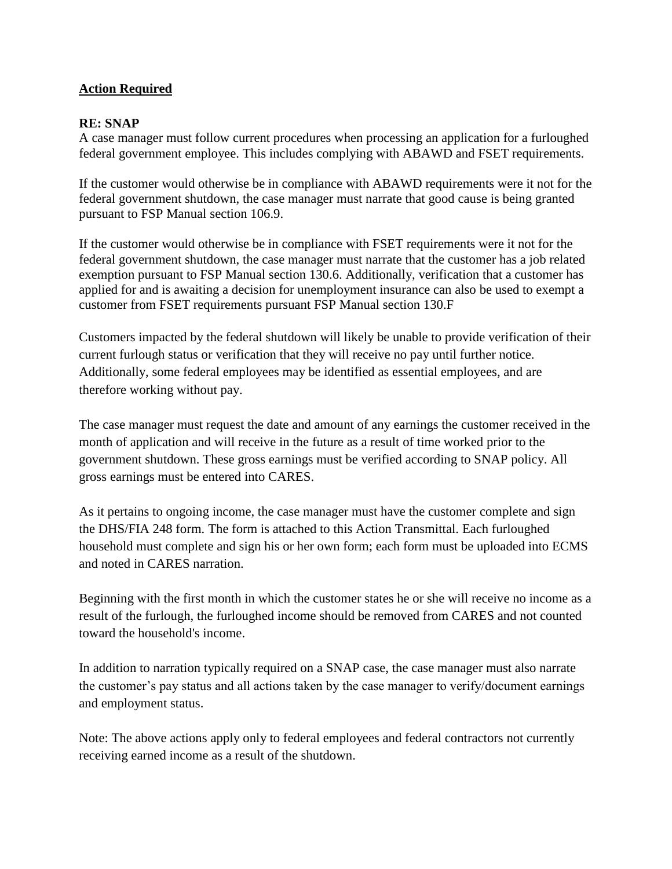## **Action Required**

### **RE: SNAP**

A case manager must follow current procedures when processing an application for a furloughed federal government employee. This includes complying with ABAWD and FSET requirements.

If the customer would otherwise be in compliance with ABAWD requirements were it not for the federal government shutdown, the case manager must narrate that good cause is being granted pursuant to FSP Manual section 106.9.

If the customer would otherwise be in compliance with FSET requirements were it not for the federal government shutdown, the case manager must narrate that the customer has a job related exemption pursuant to FSP Manual section 130.6. Additionally, verification that a customer has applied for and is awaiting a decision for unemployment insurance can also be used to exempt a customer from FSET requirements pursuant FSP Manual section 130.F

Customers impacted by the federal shutdown will likely be unable to provide verification of their current furlough status or verification that they will receive no pay until further notice. Additionally, some federal employees may be identified as essential employees, and are therefore working without pay.

The case manager must request the date and amount of any earnings the customer received in the month of application and will receive in the future as a result of time worked prior to the government shutdown. These gross earnings must be verified according to SNAP policy. All gross earnings must be entered into CARES.

As it pertains to ongoing income, the case manager must have the customer complete and sign the DHS/FIA 248 form. The form is attached to this Action Transmittal. Each furloughed household must complete and sign his or her own form; each form must be uploaded into ECMS and noted in CARES narration.

Beginning with the first month in which the customer states he or she will receive no income as a result of the furlough, the furloughed income should be removed from CARES and not counted toward the household's income.

In addition to narration typically required on a SNAP case, the case manager must also narrate the customer's pay status and all actions taken by the case manager to verify/document earnings and employment status.

Note: The above actions apply only to federal employees and federal contractors not currently receiving earned income as a result of the shutdown.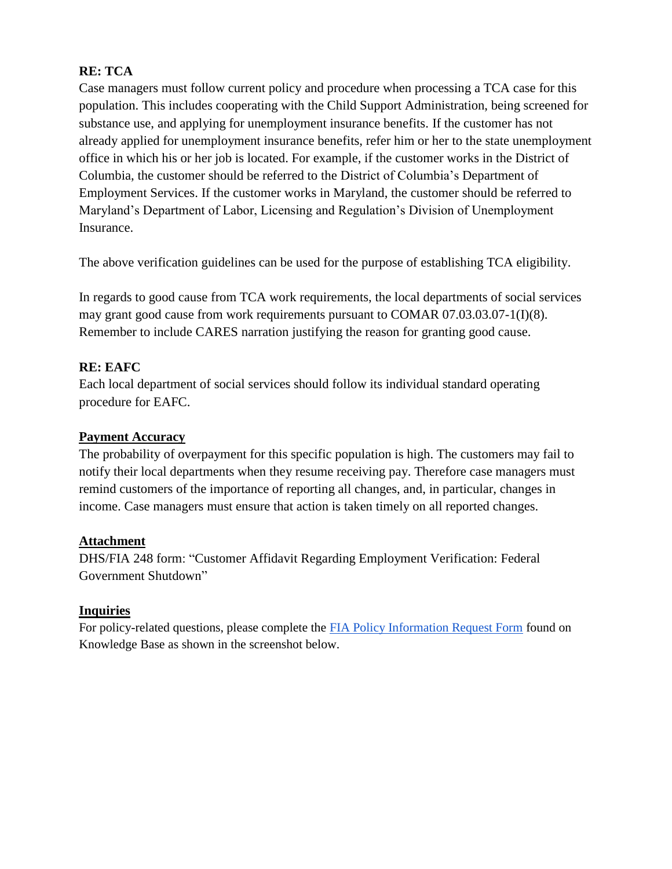## **RE: TCA**

Case managers must follow current policy and procedure when processing a TCA case for this population. This includes cooperating with the Child Support Administration, being screened for substance use, and applying for unemployment insurance benefits. If the customer has not already applied for unemployment insurance benefits, refer him or her to the state unemployment office in which his or her job is located. For example, if the customer works in the District of Columbia, the customer should be referred to the District of Columbia's Department of Employment Services. If the customer works in Maryland, the customer should be referred to Maryland's Department of Labor, Licensing and Regulation's Division of Unemployment Insurance.

The above verification guidelines can be used for the purpose of establishing TCA eligibility.

In regards to good cause from TCA work requirements, the local departments of social services may grant good cause from work requirements pursuant to COMAR 07.03.03.07-1(I)(8). Remember to include CARES narration justifying the reason for granting good cause.

### **RE: EAFC**

Each local department of social services should follow its individual standard operating procedure for EAFC.

### **Payment Accuracy**

The probability of overpayment for this specific population is high. The customers may fail to notify their local departments when they resume receiving pay. Therefore case managers must remind customers of the importance of reporting all changes, and, in particular, changes in income. Case managers must ensure that action is taken timely on all reported changes.

#### **Attachment**

DHS/FIA 248 form: "Customer Affidavit Regarding Employment Verification: Federal Government Shutdown"

#### **Inquiries**

For policy-related questions, please complete the [FIA Policy Information Request Form](http://kb.dhs.maryland.gov/family-investment-administration/contact-us-with-your-fia-program-eligibility-policy-question/) found on Knowledge Base as shown in the screenshot below.